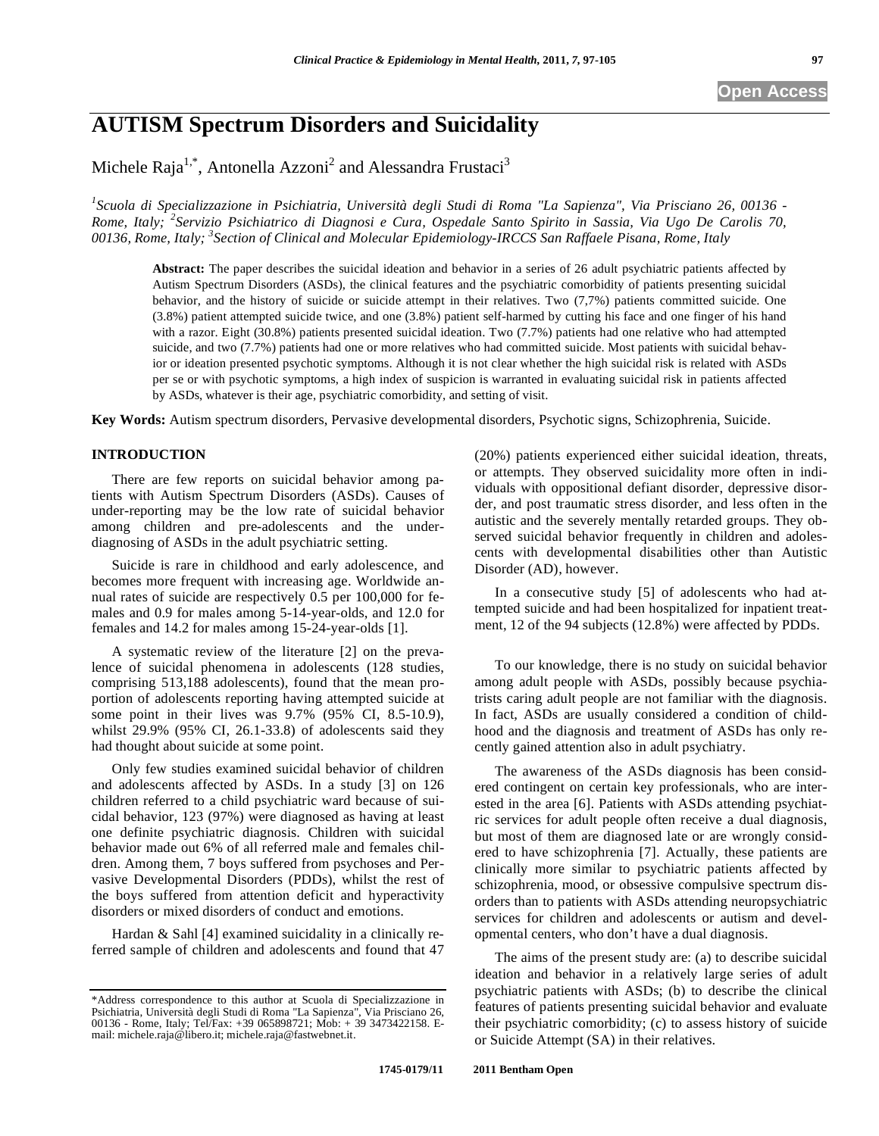# **AUTISM Spectrum Disorders and Suicidality**

Michele Raja $^{1,*}$ , Antonella Azzoni<sup>2</sup> and Alessandra Frustaci<sup>3</sup>

*1 Scuola di Specializzazione in Psichiatria, Università degli Studi di Roma "La Sapienza", Via Prisciano 26, 00136 - Rome, Italy; <sup>2</sup> Servizio Psichiatrico di Diagnosi e Cura, Ospedale Santo Spirito in Sassia, Via Ugo De Carolis 70, 00136, Rome, Italy; 3 Section of Clinical and Molecular Epidemiology-IRCCS San Raffaele Pisana, Rome, Italy* 

**Abstract:** The paper describes the suicidal ideation and behavior in a series of 26 adult psychiatric patients affected by Autism Spectrum Disorders (ASDs), the clinical features and the psychiatric comorbidity of patients presenting suicidal behavior, and the history of suicide or suicide attempt in their relatives. Two (7,7%) patients committed suicide. One (3.8%) patient attempted suicide twice, and one (3.8%) patient self-harmed by cutting his face and one finger of his hand with a razor. Eight (30.8%) patients presented suicidal ideation. Two (7.7%) patients had one relative who had attempted suicide, and two (7.7%) patients had one or more relatives who had committed suicide. Most patients with suicidal behavior or ideation presented psychotic symptoms. Although it is not clear whether the high suicidal risk is related with ASDs per se or with psychotic symptoms, a high index of suspicion is warranted in evaluating suicidal risk in patients affected by ASDs, whatever is their age, psychiatric comorbidity, and setting of visit.

**Key Words:** Autism spectrum disorders, Pervasive developmental disorders, Psychotic signs, Schizophrenia, Suicide.

# **INTRODUCTION**

There are few reports on suicidal behavior among patients with Autism Spectrum Disorders (ASDs). Causes of under-reporting may be the low rate of suicidal behavior among children and pre-adolescents and the underdiagnosing of ASDs in the adult psychiatric setting.

Suicide is rare in childhood and early adolescence, and becomes more frequent with increasing age. Worldwide annual rates of suicide are respectively 0.5 per 100,000 for females and 0.9 for males among 5-14-year-olds, and 12.0 for females and 14.2 for males among 15-24-year-olds [1].

A systematic review of the literature [2] on the prevalence of suicidal phenomena in adolescents (128 studies, comprising 513,188 adolescents), found that the mean proportion of adolescents reporting having attempted suicide at some point in their lives was 9.7% (95% CI, 8.5-10.9), whilst 29.9% (95% CI, 26.1-33.8) of adolescents said they had thought about suicide at some point.

Only few studies examined suicidal behavior of children and adolescents affected by ASDs. In a study [3] on 126 children referred to a child psychiatric ward because of suicidal behavior, 123 (97%) were diagnosed as having at least one definite psychiatric diagnosis. Children with suicidal behavior made out 6% of all referred male and females children. Among them, 7 boys suffered from psychoses and Pervasive Developmental Disorders (PDDs), whilst the rest of the boys suffered from attention deficit and hyperactivity disorders or mixed disorders of conduct and emotions.

Hardan & Sahl [4] examined suicidality in a clinically referred sample of children and adolescents and found that 47 (20%) patients experienced either suicidal ideation, threats, or attempts. They observed suicidality more often in individuals with oppositional defiant disorder, depressive disorder, and post traumatic stress disorder, and less often in the autistic and the severely mentally retarded groups. They observed suicidal behavior frequently in children and adolescents with developmental disabilities other than Autistic Disorder (AD), however.

In a consecutive study [5] of adolescents who had attempted suicide and had been hospitalized for inpatient treatment, 12 of the 94 subjects (12.8%) were affected by PDDs.

To our knowledge, there is no study on suicidal behavior among adult people with ASDs, possibly because psychiatrists caring adult people are not familiar with the diagnosis. In fact, ASDs are usually considered a condition of childhood and the diagnosis and treatment of ASDs has only recently gained attention also in adult psychiatry.

The awareness of the ASDs diagnosis has been considered contingent on certain key professionals, who are interested in the area [6]. Patients with ASDs attending psychiatric services for adult people often receive a dual diagnosis, but most of them are diagnosed late or are wrongly considered to have schizophrenia [7]. Actually, these patients are clinically more similar to psychiatric patients affected by schizophrenia, mood, or obsessive compulsive spectrum disorders than to patients with ASDs attending neuropsychiatric services for children and adolescents or autism and developmental centers, who don't have a dual diagnosis.

The aims of the present study are: (a) to describe suicidal ideation and behavior in a relatively large series of adult psychiatric patients with ASDs; (b) to describe the clinical features of patients presenting suicidal behavior and evaluate their psychiatric comorbidity; (c) to assess history of suicide or Suicide Attempt (SA) in their relatives.

<sup>\*</sup>Address correspondence to this author at Scuola di Specializzazione in Psichiatria, Università degli Studi di Roma "La Sapienza", Via Prisciano 26, 00136 - Rome, Italy; Tel/Fax: +39 065898721; Mob: + 39 3473422158. Email: michele.raja@libero.it; michele.raja@fastwebnet.it.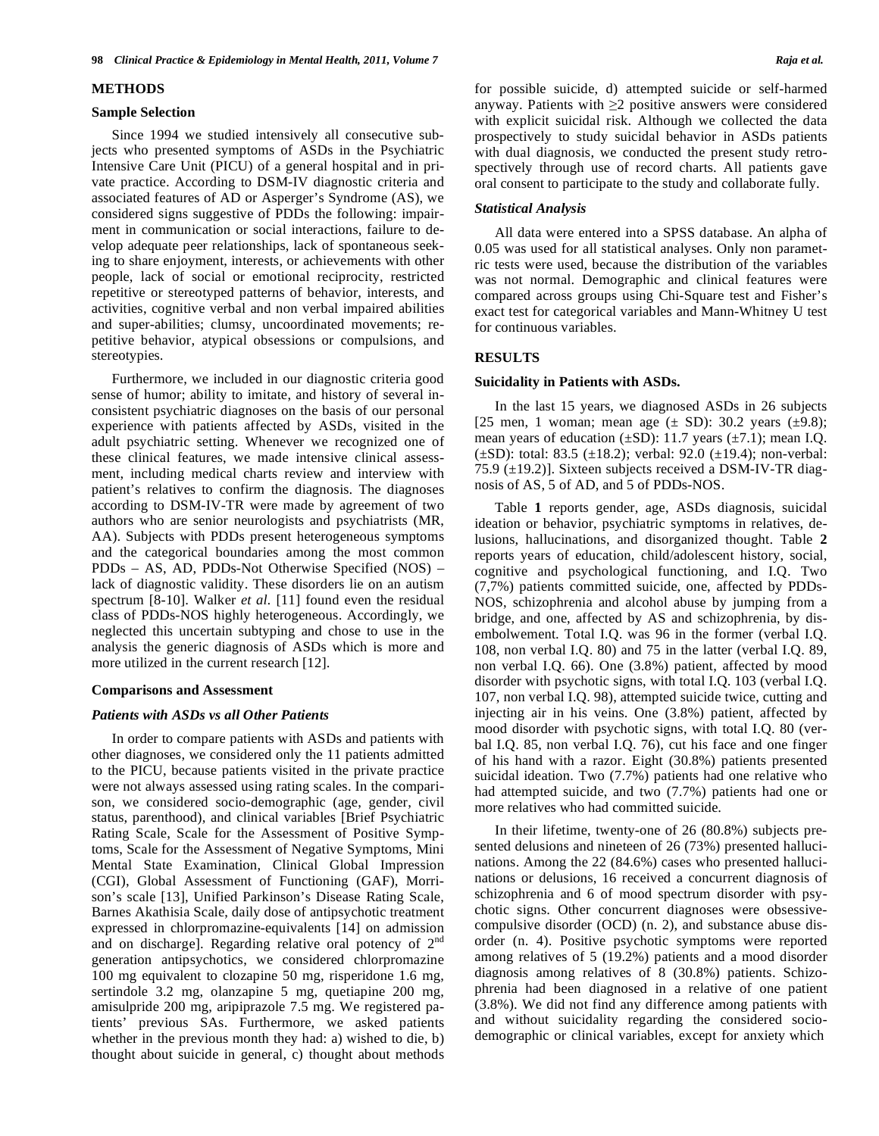#### **METHODS**

### **Sample Selection**

Since 1994 we studied intensively all consecutive subjects who presented symptoms of ASDs in the Psychiatric Intensive Care Unit (PICU) of a general hospital and in private practice. According to DSM-IV diagnostic criteria and associated features of AD or Asperger's Syndrome (AS), we considered signs suggestive of PDDs the following: impairment in communication or social interactions, failure to develop adequate peer relationships, lack of spontaneous seeking to share enjoyment, interests, or achievements with other people, lack of social or emotional reciprocity, restricted repetitive or stereotyped patterns of behavior, interests, and activities, cognitive verbal and non verbal impaired abilities and super-abilities; clumsy, uncoordinated movements; repetitive behavior, atypical obsessions or compulsions, and stereotypies.

Furthermore, we included in our diagnostic criteria good sense of humor; ability to imitate, and history of several inconsistent psychiatric diagnoses on the basis of our personal experience with patients affected by ASDs, visited in the adult psychiatric setting. Whenever we recognized one of these clinical features, we made intensive clinical assessment, including medical charts review and interview with patient's relatives to confirm the diagnosis. The diagnoses according to DSM-IV-TR were made by agreement of two authors who are senior neurologists and psychiatrists (MR, AA). Subjects with PDDs present heterogeneous symptoms and the categorical boundaries among the most common PDDs – AS, AD, PDDs-Not Otherwise Specified (NOS) – lack of diagnostic validity. These disorders lie on an autism spectrum [8-10]. Walker *et al.* [11] found even the residual class of PDDs-NOS highly heterogeneous. Accordingly, we neglected this uncertain subtyping and chose to use in the analysis the generic diagnosis of ASDs which is more and more utilized in the current research [12].

#### **Comparisons and Assessment**

#### *Patients with ASDs vs all Other Patients*

In order to compare patients with ASDs and patients with other diagnoses, we considered only the 11 patients admitted to the PICU, because patients visited in the private practice were not always assessed using rating scales. In the comparison, we considered socio-demographic (age, gender, civil status, parenthood), and clinical variables [Brief Psychiatric Rating Scale, Scale for the Assessment of Positive Symptoms, Scale for the Assessment of Negative Symptoms, Mini Mental State Examination, Clinical Global Impression (CGI), Global Assessment of Functioning (GAF), Morrison's scale [13], Unified Parkinson's Disease Rating Scale, Barnes Akathisia Scale, daily dose of antipsychotic treatment expressed in chlorpromazine-equivalents [14] on admission and on discharge]. Regarding relative oral potency of  $2<sup>nd</sup>$ generation antipsychotics, we considered chlorpromazine 100 mg equivalent to clozapine 50 mg, risperidone 1.6 mg, sertindole 3.2 mg, olanzapine 5 mg, quetiapine 200 mg, amisulpride 200 mg, aripiprazole 7.5 mg. We registered patients' previous SAs. Furthermore, we asked patients whether in the previous month they had: a) wished to die, b) thought about suicide in general, c) thought about methods for possible suicide, d) attempted suicide or self-harmed anyway. Patients with  $\geq 2$  positive answers were considered with explicit suicidal risk. Although we collected the data prospectively to study suicidal behavior in ASDs patients with dual diagnosis, we conducted the present study retrospectively through use of record charts. All patients gave oral consent to participate to the study and collaborate fully.

#### *Statistical Analysis*

All data were entered into a SPSS database. An alpha of 0.05 was used for all statistical analyses. Only non parametric tests were used, because the distribution of the variables was not normal. Demographic and clinical features were compared across groups using Chi-Square test and Fisher's exact test for categorical variables and Mann-Whitney U test for continuous variables.

## **RESULTS**

#### **Suicidality in Patients with ASDs.**

In the last 15 years, we diagnosed ASDs in 26 subjects [25 men, 1 woman; mean age  $(\pm SD)$ : 30.2 years  $(\pm 9.8)$ ; mean years of education  $(\pm SD)$ : 11.7 years  $(\pm 7.1)$ ; mean I.Q.  $(\pm SD)$ : total: 83.5 ( $\pm 18.2$ ); verbal: 92.0 ( $\pm 19.4$ ); non-verbal: 75.9 (±19.2)]. Sixteen subjects received a DSM-IV-TR diagnosis of AS, 5 of AD, and 5 of PDDs-NOS.

Table **1** reports gender, age, ASDs diagnosis, suicidal ideation or behavior, psychiatric symptoms in relatives, delusions, hallucinations, and disorganized thought. Table **2** reports years of education, child/adolescent history, social, cognitive and psychological functioning, and I.Q. Two (7,7%) patients committed suicide, one, affected by PDDs-NOS, schizophrenia and alcohol abuse by jumping from a bridge, and one, affected by AS and schizophrenia, by disembolwement. Total I.Q. was 96 in the former (verbal I.Q. 108, non verbal I.Q. 80) and 75 in the latter (verbal I.Q. 89, non verbal I.Q. 66). One (3.8%) patient, affected by mood disorder with psychotic signs, with total I.Q. 103 (verbal I.Q. 107, non verbal I.Q. 98), attempted suicide twice, cutting and injecting air in his veins. One (3.8%) patient, affected by mood disorder with psychotic signs, with total I.Q. 80 (verbal I.Q. 85, non verbal I.Q. 76), cut his face and one finger of his hand with a razor. Eight (30.8%) patients presented suicidal ideation. Two (7.7%) patients had one relative who had attempted suicide, and two (7.7%) patients had one or more relatives who had committed suicide.

In their lifetime, twenty-one of 26 (80.8%) subjects presented delusions and nineteen of 26 (73%) presented hallucinations. Among the 22 (84.6%) cases who presented hallucinations or delusions, 16 received a concurrent diagnosis of schizophrenia and 6 of mood spectrum disorder with psychotic signs. Other concurrent diagnoses were obsessivecompulsive disorder (OCD) (n. 2), and substance abuse disorder (n. 4). Positive psychotic symptoms were reported among relatives of 5 (19.2%) patients and a mood disorder diagnosis among relatives of 8 (30.8%) patients. Schizophrenia had been diagnosed in a relative of one patient (3.8%). We did not find any difference among patients with and without suicidality regarding the considered sociodemographic or clinical variables, except for anxiety which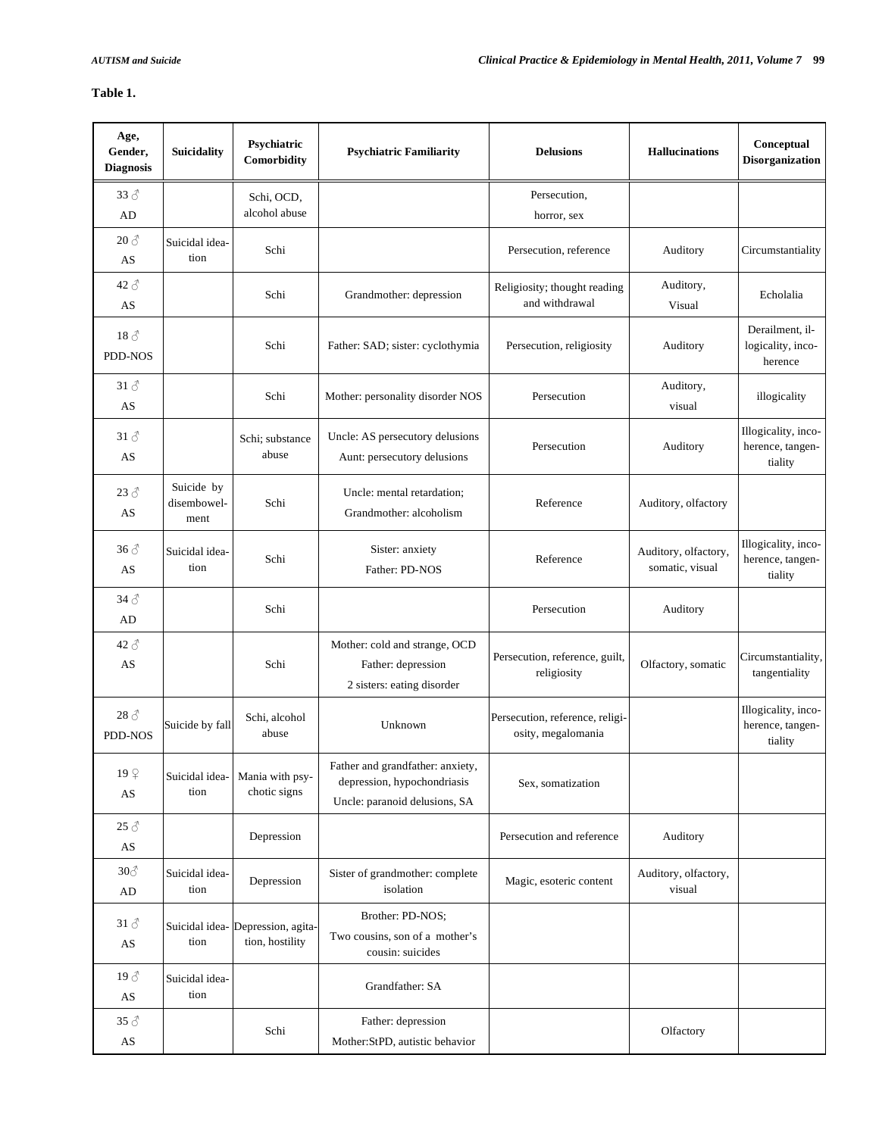# **Table 1.**

| Age,<br>Gender,<br><b>Diagnosis</b>                    | <b>Suicidality</b>                | Psychiatric<br>Comorbidity                           | <b>Psychiatric Familiarity</b>                                                                   | <b>Delusions</b>                                      | <b>Hallucinations</b>                   | Conceptual<br><b>Disorganization</b>               |
|--------------------------------------------------------|-----------------------------------|------------------------------------------------------|--------------------------------------------------------------------------------------------------|-------------------------------------------------------|-----------------------------------------|----------------------------------------------------|
| $33 \delta$<br>AD                                      |                                   | Schi, OCD,<br>alcohol abuse                          |                                                                                                  | Persecution,<br>horror, sex                           |                                         |                                                    |
| $20 \, \text{\AA}$<br>AS                               | Suicidal idea-<br>tion            | Schi                                                 |                                                                                                  | Persecution, reference                                | Auditory                                | Circumstantiality                                  |
| $42 \delta$<br>AS                                      |                                   | Schi                                                 | Grandmother: depression                                                                          | Religiosity; thought reading<br>and withdrawal        | Auditory,<br>Visual                     | Echolalia                                          |
| $18\text{ }^{\circ}$<br>PDD-NOS                        |                                   | Schi                                                 | Father: SAD; sister: cyclothymia                                                                 | Persecution, religiosity                              | Auditory                                | Derailment, il-<br>logicality, inco-<br>herence    |
| $31 \delta$<br>AS                                      |                                   | Schi                                                 | Mother: personality disorder NOS                                                                 | Persecution                                           | Auditory,<br>visual                     | illogicality                                       |
| $31 \delta$<br>AS                                      |                                   | Schi; substance<br>abuse                             | Uncle: AS persecutory delusions<br>Aunt: persecutory delusions                                   | Persecution                                           | Auditory                                | Illogicality, inco-<br>herence, tangen-<br>tiality |
| $23 \delta$<br>AS                                      | Suicide by<br>disembowel-<br>ment | Schi                                                 | Uncle: mental retardation;<br>Grandmother: alcoholism                                            | Reference                                             | Auditory, olfactory                     |                                                    |
| $36 \delta$<br>AS                                      | Suicidal idea-<br>tion            | Schi                                                 | Sister: anxiety<br>Father: PD-NOS                                                                | Reference                                             | Auditory, olfactory,<br>somatic, visual | Illogicality, inco-<br>herence, tangen-<br>tiality |
| $34 \text{ } \textcircled{}$<br>AD                     |                                   | Schi                                                 |                                                                                                  | Persecution                                           | Auditory                                |                                                    |
| $42 \delta$<br>AS                                      |                                   | Schi                                                 | Mother: cold and strange, OCD<br>Father: depression<br>2 sisters: eating disorder                | Persecution, reference, guilt,<br>religiosity         | Olfactory, somatic                      | Circumstantiality,<br>tangentiality                |
| $28 \delta$<br>PDD-NOS                                 | Suicide by fall                   | Schi, alcohol<br>abuse                               | Unknown                                                                                          | Persecution, reference, religi-<br>osity, megalomania |                                         | Illogicality, inco-<br>herence, tangen-<br>tiality |
| 199<br>$\mathbf{A}\mathbf{S}$                          | Suicidal idea-<br>tion            | Mania with psy-<br>chotic signs                      | Father and grandfather: anxiety,<br>depression, hypochondriasis<br>Uncle: paranoid delusions, SA | Sex, somatization                                     |                                         |                                                    |
| $25\;\mathcal{\rhd}$<br>$\mathbf{A}\mathbf{S}$         |                                   | Depression                                           |                                                                                                  | Persecution and reference                             | Auditory                                |                                                    |
| $30\textcircled{3}$<br>AD                              | Suicidal idea-<br>tion            | Depression                                           | Sister of grandmother: complete<br>isolation                                                     | Magic, esoteric content                               | Auditory, olfactory,<br>visual          |                                                    |
| $31 \text{ } \textcircled{}$<br>$\mathbf{A}\mathbf{S}$ | tion                              | Suicidal idea- Depression, agita-<br>tion, hostility | Brother: PD-NOS;<br>Two cousins, son of a mother's<br>cousin: suicides                           |                                                       |                                         |                                                    |
| $19\text{ }\mathcal{E}$<br>AS                          | Suicidal idea-<br>tion            |                                                      | Grandfather: SA                                                                                  |                                                       |                                         |                                                    |
| $35 \delta$<br>AS                                      |                                   | Schi                                                 | Father: depression<br>Mother:StPD, autistic behavior                                             |                                                       | Olfactory                               |                                                    |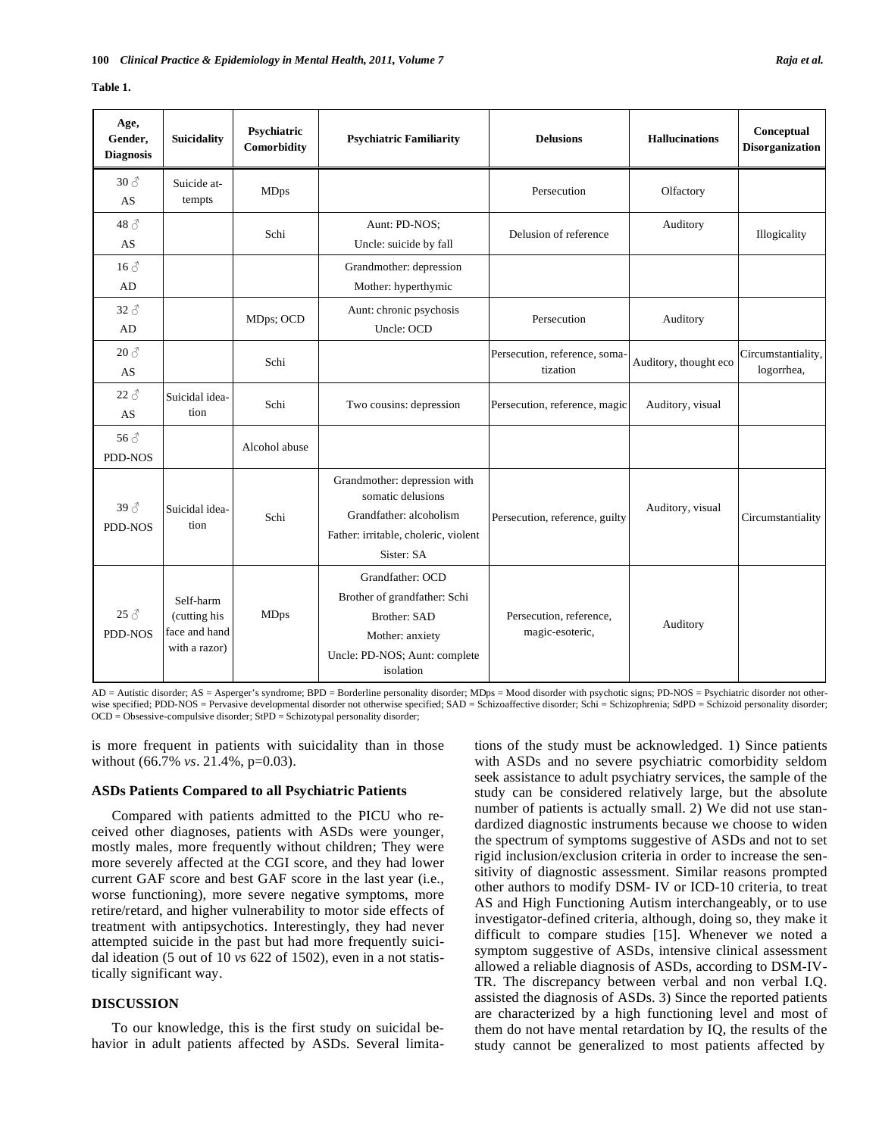|  |  | l'able |  |
|--|--|--------|--|
|--|--|--------|--|

| Age,<br>Gender,<br><b>Diagnosis</b>  | <b>Suicidality</b>                                          | Psychiatric<br>Comorbidity | <b>Psychiatric Familiarity</b>                                                                                                           | <b>Delusions</b>                           | <b>Hallucinations</b> | Conceptual<br><b>Disorganization</b> |
|--------------------------------------|-------------------------------------------------------------|----------------------------|------------------------------------------------------------------------------------------------------------------------------------------|--------------------------------------------|-----------------------|--------------------------------------|
| $30 \, \text{\AA}$<br>AS             | Suicide at-<br>tempts                                       | <b>MDps</b>                |                                                                                                                                          | Persecution                                | Olfactory             |                                      |
| $48\text{ }\mathcal{E}$<br>AS        |                                                             | Schi                       | Aunt: PD-NOS:<br>Uncle: suicide by fall                                                                                                  | Delusion of reference                      | Auditory              | Illogicality                         |
| $16 \, \text{\AA}$<br>AD             |                                                             |                            | Grandmother: depression<br>Mother: hyperthymic                                                                                           |                                            |                       |                                      |
| $32 \delta$<br>AD                    |                                                             | MDps; OCD                  | Aunt: chronic psychosis<br>Uncle: OCD                                                                                                    | Persecution                                | Auditory              |                                      |
| $20 \delta$<br>AS                    |                                                             | Schi                       |                                                                                                                                          | Persecution, reference, soma-<br>tization  | Auditory, thought eco | Circumstantiality,<br>logorrhea,     |
| $22 \delta$<br>AS                    | Suicidal idea-<br>tion                                      | Schi                       | Two cousins: depression                                                                                                                  | Persecution, reference, magic              | Auditory, visual      |                                      |
| $56\,\mathrm{\AA}$<br>PDD-NOS        |                                                             | Alcohol abuse              |                                                                                                                                          |                                            |                       |                                      |
| $39 \text{ } \mathcal{S}$<br>PDD-NOS | Suicidal idea-<br>tion                                      | Schi                       | Grandmother: depression with<br>somatic delusions<br>Grandfather: alcoholism<br>Father: irritable, choleric, violent<br>Sister: SA       | Persecution, reference, guilty             | Auditory, visual      | Circumstantiality                    |
| $25 \delta$<br>PDD-NOS               | Self-harm<br>(cutting his<br>face and hand<br>with a razor) | <b>MDps</b>                | Grandfather: OCD<br>Brother of grandfather: Schi<br><b>Brother: SAD</b><br>Mother: anxiety<br>Uncle: PD-NOS; Aunt: complete<br>isolation | Persecution, reference,<br>magic-esoteric, | Auditory              |                                      |

AD = Autistic disorder; AS = Asperger's syndrome; BPD = Borderline personality disorder; MDps = Mood disorder with psychotic signs; PD-NOS = Psychiatric disorder not otherwise specified; PDD-NOS = Pervasive developmental disorder not otherwise specified; SAD = Schizoaffective disorder; Schi = Schizophrenia; SdPD = Schizoid personality disorder; OCD = Obsessive-compulsive disorder; StPD = Schizotypal personality disorder;

is more frequent in patients with suicidality than in those without (66.7% *vs*. 21.4%, p=0.03).

#### **ASDs Patients Compared to all Psychiatric Patients**

Compared with patients admitted to the PICU who received other diagnoses, patients with ASDs were younger, mostly males, more frequently without children; They were more severely affected at the CGI score, and they had lower current GAF score and best GAF score in the last year (i.e., worse functioning), more severe negative symptoms, more retire/retard, and higher vulnerability to motor side effects of treatment with antipsychotics. Interestingly, they had never attempted suicide in the past but had more frequently suicidal ideation (5 out of 10 *vs* 622 of 1502), even in a not statistically significant way.

# **DISCUSSION**

To our knowledge, this is the first study on suicidal behavior in adult patients affected by ASDs. Several limitations of the study must be acknowledged. 1) Since patients with ASDs and no severe psychiatric comorbidity seldom seek assistance to adult psychiatry services, the sample of the study can be considered relatively large, but the absolute number of patients is actually small. 2) We did not use standardized diagnostic instruments because we choose to widen the spectrum of symptoms suggestive of ASDs and not to set rigid inclusion/exclusion criteria in order to increase the sensitivity of diagnostic assessment. Similar reasons prompted other authors to modify DSM- IV or ICD-10 criteria, to treat AS and High Functioning Autism interchangeably, or to use investigator-defined criteria, although, doing so, they make it difficult to compare studies [15]. Whenever we noted a symptom suggestive of ASDs, intensive clinical assessment allowed a reliable diagnosis of ASDs, according to DSM-IV-TR. The discrepancy between verbal and non verbal I.Q. assisted the diagnosis of ASDs. 3) Since the reported patients are characterized by a high functioning level and most of them do not have mental retardation by IQ, the results of the study cannot be generalized to most patients affected by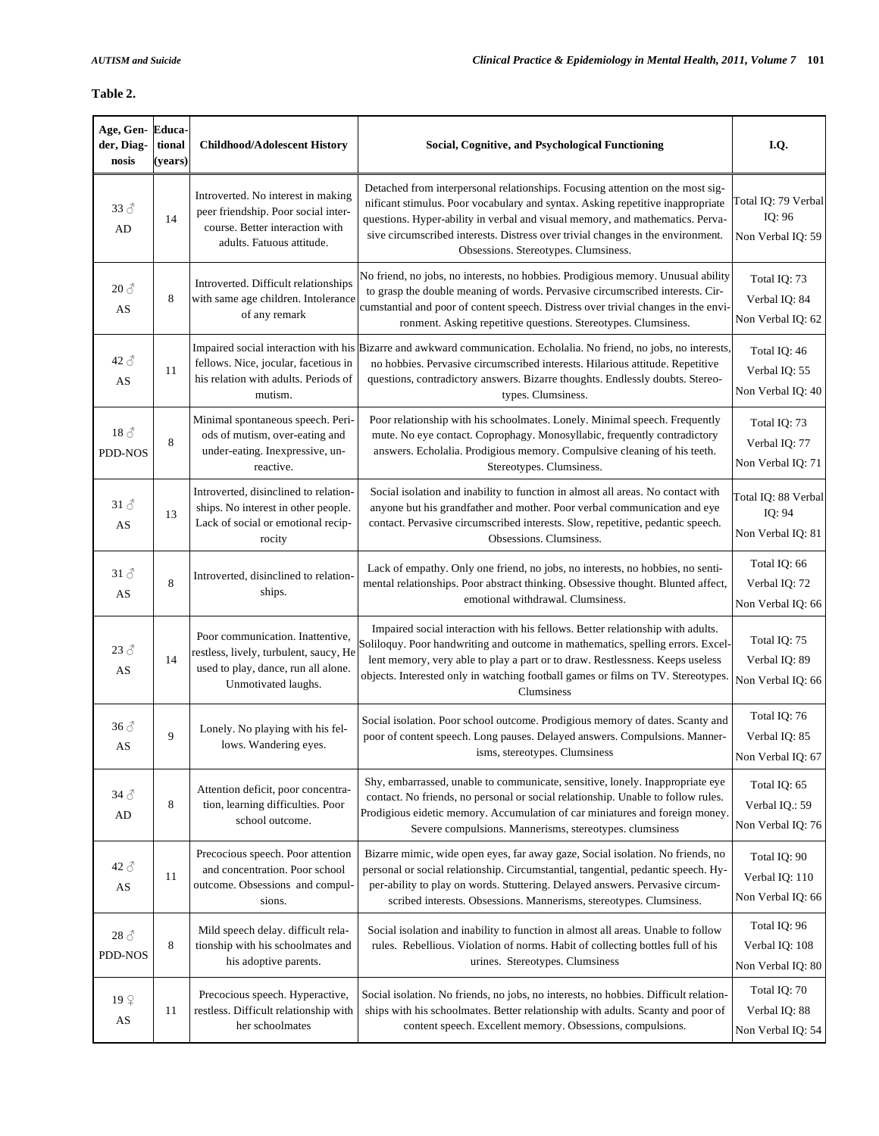# **Table 2.**

| Age, Gen-Educa-<br>der, Diag-<br>nosis  | tional<br>(years) | <b>Childhood/Adolescent History</b>                                                                                                       | Social, Cognitive, and Psychological Functioning                                                                                                                                                                                                                                                                                                                             | I.Q.                                                |
|-----------------------------------------|-------------------|-------------------------------------------------------------------------------------------------------------------------------------------|------------------------------------------------------------------------------------------------------------------------------------------------------------------------------------------------------------------------------------------------------------------------------------------------------------------------------------------------------------------------------|-----------------------------------------------------|
| $33 \delta$<br>AD                       | 14                | Introverted. No interest in making<br>peer friendship. Poor social inter-<br>course. Better interaction with<br>adults. Fatuous attitude. | Detached from interpersonal relationships. Focusing attention on the most sig-<br>nificant stimulus. Poor vocabulary and syntax. Asking repetitive inappropriate<br>questions. Hyper-ability in verbal and visual memory, and mathematics. Perva-<br>sive circumscribed interests. Distress over trivial changes in the environment.<br>Obsessions. Stereotypes. Clumsiness. | Total IQ: 79 Verbal<br>IQ: 96<br>Non Verbal IQ: 59  |
| $20 \delta$<br>AS                       | 8                 | Introverted. Difficult relationships<br>with same age children. Intolerance<br>of any remark                                              | No friend, no jobs, no interests, no hobbies. Prodigious memory. Unusual ability<br>to grasp the double meaning of words. Pervasive circumscribed interests. Cir-<br>cumstantial and poor of content speech. Distress over trivial changes in the envi-<br>ronment. Asking repetitive questions. Stereotypes. Clumsiness.                                                    | Total IQ: 73<br>Verbal IQ: 84<br>Non Verbal IQ: 62  |
| $42 \text{ } \textcircled{}$<br>AS      | 11                | fellows. Nice, jocular, facetious in<br>his relation with adults. Periods of<br>mutism.                                                   | Impaired social interaction with his Bizarre and awkward communication. Echolalia. No friend, no jobs, no interests,<br>no hobbies. Pervasive circumscribed interests. Hilarious attitude. Repetitive<br>questions, contradictory answers. Bizarre thoughts. Endlessly doubts. Stereo-<br>types. Clumsiness.                                                                 | Total IQ: 46<br>Verbal IQ: 55<br>Non Verbal IQ: 40  |
| $18\sigma$<br>PDD-NOS                   | 8                 | Minimal spontaneous speech. Peri-<br>ods of mutism, over-eating and<br>under-eating. Inexpressive, un-<br>reactive.                       | Poor relationship with his schoolmates. Lonely. Minimal speech. Frequently<br>mute. No eye contact. Coprophagy. Monosyllabic, frequently contradictory<br>answers. Echolalia. Prodigious memory. Compulsive cleaning of his teeth.<br>Stereotypes. Clumsiness.                                                                                                               | Total IQ: 73<br>Verbal IQ: 77<br>Non Verbal IQ: 71  |
| $31 \text{ } \mathcal{E}$<br>AS         | 13                | Introverted, disinclined to relation-<br>ships. No interest in other people.<br>Lack of social or emotional recip-<br>rocity              | Social isolation and inability to function in almost all areas. No contact with<br>anyone but his grandfather and mother. Poor verbal communication and eye<br>contact. Pervasive circumscribed interests. Slow, repetitive, pedantic speech.<br>Obsessions. Clumsiness.                                                                                                     | Total IQ: 88 Verbal<br>IQ: 94<br>Non Verbal IQ: 81  |
| $31 \text{ } \textcircled{}$<br>AS      | 8                 | Introverted, disinclined to relation-<br>ships.                                                                                           | Lack of empathy. Only one friend, no jobs, no interests, no hobbies, no senti-<br>mental relationships. Poor abstract thinking. Obsessive thought. Blunted affect,<br>emotional withdrawal. Clumsiness.                                                                                                                                                                      | Total IQ: 66<br>Verbal IQ: 72<br>Non Verbal IQ: 66  |
| $23 \delta$<br>AS                       | 14                | Poor communication. Inattentive,<br>restless, lively, turbulent, saucy, He<br>used to play, dance, run all alone.<br>Unmotivated laughs.  | Impaired social interaction with his fellows. Better relationship with adults.<br>Soliloquy. Poor handwriting and outcome in mathematics, spelling errors. Excel-<br>lent memory, very able to play a part or to draw. Restlessness. Keeps useless<br>objects. Interested only in watching football games or films on TV. Stereotypes.<br>Clumsiness                         | Total IQ: 75<br>Verbal IQ: 89<br>Non Verbal IQ: 66  |
| $36 \delta$<br>AS                       | 9                 | Lonely. No playing with his fel-<br>lows. Wandering eyes.                                                                                 | Social isolation. Poor school outcome. Prodigious memory of dates. Scanty and<br>poor of content speech. Long pauses. Delayed answers. Compulsions. Manner-<br>isms, stereotypes. Clumsiness                                                                                                                                                                                 | Total IQ: 76<br>Verbal IQ: 85<br>Non Verbal IQ: 67  |
| $34\delta$<br>AD                        | 8                 | Attention deficit, poor concentra-<br>tion, learning difficulties. Poor<br>school outcome.                                                | Shy, embarrassed, unable to communicate, sensitive, lonely. Inappropriate eye<br>contact. No friends, no personal or social relationship. Unable to follow rules.<br>Prodigious eidetic memory. Accumulation of car miniatures and foreign money.<br>Severe compulsions. Mannerisms, stereotypes. clumsiness                                                                 | Total IQ: 65<br>Verbal IQ.: 59<br>Non Verbal IQ: 76 |
| $42 \delta$<br>AS                       | 11                | Precocious speech. Poor attention<br>and concentration. Poor school<br>outcome. Obsessions and compul-<br>sions.                          | Bizarre mimic, wide open eyes, far away gaze, Social isolation. No friends, no<br>personal or social relationship. Circumstantial, tangential, pedantic speech. Hy-<br>per-ability to play on words. Stuttering. Delayed answers. Pervasive circum-<br>scribed interests. Obsessions. Mannerisms, stereotypes. Clumsiness.                                                   | Total IQ: 90<br>Verbal IQ: 110<br>Non Verbal IQ: 66 |
| $28 \text{ } \textcircled{}$<br>PDD-NOS | 8                 | Mild speech delay. difficult rela-<br>tionship with his schoolmates and<br>his adoptive parents.                                          | Social isolation and inability to function in almost all areas. Unable to follow<br>rules. Rebellious. Violation of norms. Habit of collecting bottles full of his<br>urines. Stereotypes. Clumsiness                                                                                                                                                                        | Total IQ: 96<br>Verbal IQ: 108<br>Non Verbal IQ: 80 |
| 199<br>AS                               | 11                | Precocious speech. Hyperactive,<br>restless. Difficult relationship with<br>her schoolmates                                               | Social isolation. No friends, no jobs, no interests, no hobbies. Difficult relation-<br>ships with his schoolmates. Better relationship with adults. Scanty and poor of<br>content speech. Excellent memory. Obsessions, compulsions.                                                                                                                                        | Total IQ: 70<br>Verbal IQ: 88<br>Non Verbal IQ: 54  |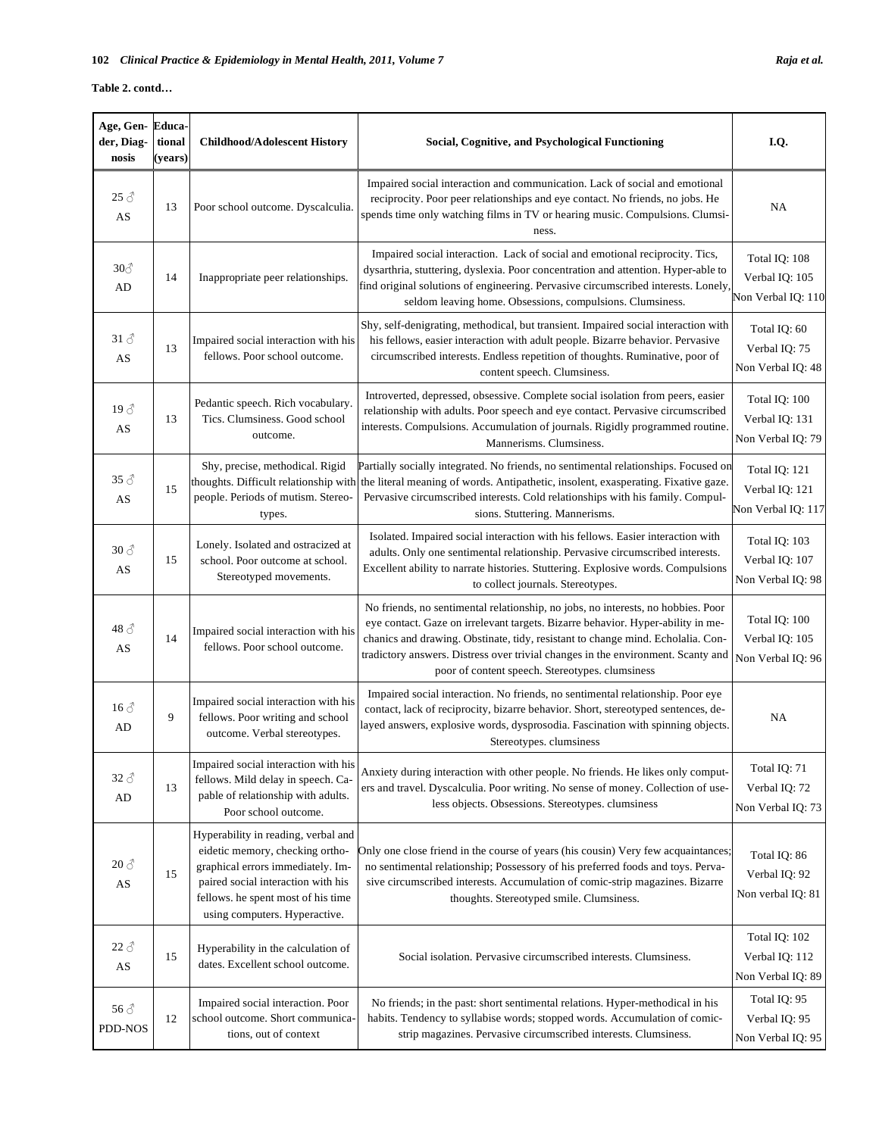**Table 2. contd…** 

| Age, Gen-<br>der, Diag-<br>nosis | Educa-<br>tional<br>(years) | <b>Childhood/Adolescent History</b>                                                                                                                                                                                      | Social, Cognitive, and Psychological Functioning                                                                                                                                                                                                                                                                                                                                              | I.Q.                                                  |
|----------------------------------|-----------------------------|--------------------------------------------------------------------------------------------------------------------------------------------------------------------------------------------------------------------------|-----------------------------------------------------------------------------------------------------------------------------------------------------------------------------------------------------------------------------------------------------------------------------------------------------------------------------------------------------------------------------------------------|-------------------------------------------------------|
| $25 \delta$<br>AS                | 13                          | Poor school outcome. Dyscalculia.                                                                                                                                                                                        | Impaired social interaction and communication. Lack of social and emotional<br>reciprocity. Poor peer relationships and eye contact. No friends, no jobs. He<br>spends time only watching films in TV or hearing music. Compulsions. Clumsi-<br>ness.                                                                                                                                         | NA                                                    |
| $30\textcircled{}$<br>AD         | 14                          | Inappropriate peer relationships.                                                                                                                                                                                        | Impaired social interaction. Lack of social and emotional reciprocity. Tics,<br>dysarthria, stuttering, dyslexia. Poor concentration and attention. Hyper-able to<br>find original solutions of engineering. Pervasive circumscribed interests. Lonely,<br>seldom leaving home. Obsessions, compulsions. Clumsiness.                                                                          | Total IQ: 108<br>Verbal IQ: 105<br>Non Verbal IQ: 110 |
| 31 $\beta$<br>AS                 | 13                          | Impaired social interaction with his<br>fellows. Poor school outcome.                                                                                                                                                    | Shy, self-denigrating, methodical, but transient. Impaired social interaction with<br>his fellows, easier interaction with adult people. Bizarre behavior. Pervasive<br>circumscribed interests. Endless repetition of thoughts. Ruminative, poor of<br>content speech. Clumsiness.                                                                                                           | Total IQ: 60<br>Verbal IQ: 75<br>Non Verbal IQ: 48    |
| $19\text{ }^{\circ}$<br>AS       | 13                          | Pedantic speech. Rich vocabulary.<br>Tics. Clumsiness. Good school<br>outcome.                                                                                                                                           | Introverted, depressed, obsessive. Complete social isolation from peers, easier<br>relationship with adults. Poor speech and eye contact. Pervasive circumscribed<br>interests. Compulsions. Accumulation of journals. Rigidly programmed routine.<br>Mannerisms. Clumsiness.                                                                                                                 | Total IQ: 100<br>Verbal IQ: 131<br>Non Verbal IQ: 79  |
| $35 \delta$<br>AS                | 15                          | Shy, precise, methodical. Rigid<br>thoughts. Difficult relationship with<br>people. Periods of mutism. Stereo-<br>types.                                                                                                 | Partially socially integrated. No friends, no sentimental relationships. Focused on<br>the literal meaning of words. Antipathetic, insolent, exasperating. Fixative gaze.<br>Pervasive circumscribed interests. Cold relationships with his family. Compul-<br>sions. Stuttering. Mannerisms.                                                                                                 | Total IQ: 121<br>Verbal IQ: 121<br>Non Verbal IQ: 117 |
| $30 \, \text{\AA}$<br>AS         | 15                          | Lonely. Isolated and ostracized at<br>school. Poor outcome at school.<br>Stereotyped movements.                                                                                                                          | Isolated. Impaired social interaction with his fellows. Easier interaction with<br>adults. Only one sentimental relationship. Pervasive circumscribed interests.<br>Excellent ability to narrate histories. Stuttering. Explosive words. Compulsions<br>to collect journals. Stereotypes.                                                                                                     | Total IQ: 103<br>Verbal IQ: 107<br>Non Verbal IQ: 98  |
| $48\,\mathrm{\AA}$<br>AS         | 14                          | Impaired social interaction with his<br>fellows. Poor school outcome.                                                                                                                                                    | No friends, no sentimental relationship, no jobs, no interests, no hobbies. Poor<br>eye contact. Gaze on irrelevant targets. Bizarre behavior. Hyper-ability in me-<br>chanics and drawing. Obstinate, tidy, resistant to change mind. Echolalia. Con-<br>tradictory answers. Distress over trivial changes in the environment. Scanty and<br>poor of content speech. Stereotypes. clumsiness | Total IQ: 100<br>Verbal IQ: 105<br>Non Verbal IQ: 96  |
| $16 \delta$<br>AD                | 9                           | Impaired social interaction with his<br>fellows. Poor writing and school<br>outcome. Verbal stereotypes.                                                                                                                 | Impaired social interaction. No friends, no sentimental relationship. Poor eye<br>contact, lack of reciprocity, bizarre behavior. Short, stereotyped sentences, de-<br>layed answers, explosive words, dysprosodia. Fascination with spinning objects.<br>Stereotypes. clumsiness                                                                                                             | NA                                                    |
| $32 \delta$<br>AD                | 13                          | Impaired social interaction with his<br>fellows. Mild delay in speech. Ca-<br>pable of relationship with adults.<br>Poor school outcome.                                                                                 | Anxiety during interaction with other people. No friends. He likes only comput-<br>ers and travel. Dyscalculia. Poor writing. No sense of money. Collection of use-<br>less objects. Obsessions. Stereotypes. clumsiness                                                                                                                                                                      | Total IQ: 71<br>Verbal IQ: 72<br>Non Verbal IQ: 73    |
| $20 \delta$<br>AS                | 15                          | Hyperability in reading, verbal and<br>eidetic memory, checking ortho-<br>graphical errors immediately. Im-<br>paired social interaction with his<br>fellows. he spent most of his time<br>using computers. Hyperactive. | Only one close friend in the course of years (his cousin) Very few acquaintances;<br>no sentimental relationship; Possessory of his preferred foods and toys. Perva-<br>sive circumscribed interests. Accumulation of comic-strip magazines. Bizarre<br>thoughts. Stereotyped smile. Clumsiness.                                                                                              | Total IQ: 86<br>Verbal IQ: 92<br>Non verbal IQ: 81    |
| $22 \delta$<br>AS                | 15                          | Hyperability in the calculation of<br>dates. Excellent school outcome.                                                                                                                                                   | Social isolation. Pervasive circumscribed interests. Clumsiness.                                                                                                                                                                                                                                                                                                                              | Total IQ: 102<br>Verbal IQ: 112<br>Non Verbal IQ: 89  |
| $56 \, \text{\AA}$<br>PDD-NOS    | 12                          | Impaired social interaction. Poor<br>school outcome. Short communica-<br>tions, out of context                                                                                                                           | No friends; in the past: short sentimental relations. Hyper-methodical in his<br>habits. Tendency to syllabise words; stopped words. Accumulation of comic-<br>strip magazines. Pervasive circumscribed interests. Clumsiness.                                                                                                                                                                | Total IQ: 95<br>Verbal IQ: 95<br>Non Verbal IQ: 95    |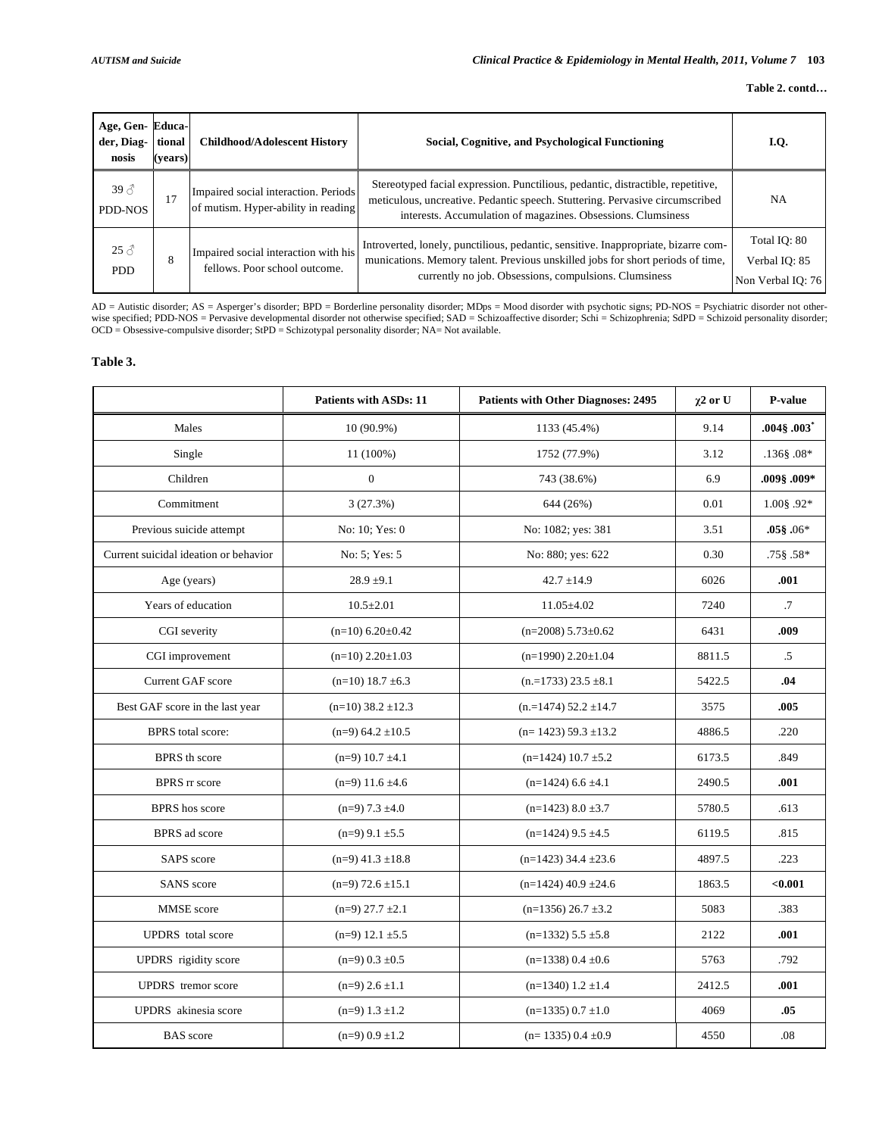| Age, Gen-Educa-<br>der, Diag-<br>nosis | tional<br>(vears) | <b>Childhood/Adolescent History</b>                                         | Social, Cognitive, and Psychological Functioning                                                                                                                                                                                | I.Q.                                               |
|----------------------------------------|-------------------|-----------------------------------------------------------------------------|---------------------------------------------------------------------------------------------------------------------------------------------------------------------------------------------------------------------------------|----------------------------------------------------|
| $39 \text{ } \mathcal{S}$<br>PDD-NOS   | 17                | Impaired social interaction. Periods<br>of mutism. Hyper-ability in reading | Stereotyped facial expression. Punctilious, pedantic, distractible, repetitive,<br>meticulous, uncreative. Pedantic speech. Stuttering. Pervasive circumscribed<br>interests. Accumulation of magazines. Obsessions. Clumsiness | <b>NA</b>                                          |
| $25 \delta$<br><b>PDD</b>              | 8                 | Impaired social interaction with his<br>fellows. Poor school outcome.       | Introverted, lonely, punctilious, pedantic, sensitive. Inappropriate, bizarre com-<br>munications. Memory talent. Previous unskilled jobs for short periods of time,<br>currently no job. Obsessions, compulsions. Clumsiness   | Total IQ: 80<br>Verbal IO: 85<br>Non Verbal IO: 76 |

AD = Autistic disorder; AS = Asperger's disorder; BPD = Borderline personality disorder; MDps = Mood disorder with psychotic signs; PD-NOS = Psychiatric disorder not other-<br>wise specified; PDD-NOS = Pervasive developmental OCD = Obsessive-compulsive disorder; StPD = Schizotypal personality disorder; NA= Not available.

# **Table 3.**

|                                       | <b>Patients with ASDs: 11</b> | <b>Patients with Other Diagnoses: 2495</b> | $\gamma$ 2 or U | P-value         |
|---------------------------------------|-------------------------------|--------------------------------------------|-----------------|-----------------|
| Males                                 | 10 (90.9%)                    | 1133 (45.4%)                               | 9.14            | $.004\$ $.003"$ |
| Single                                | 11 (100%)                     | 1752 (77.9%)                               | 3.12            | $.136$ § .08*   |
| Children                              | $\boldsymbol{0}$              | 743 (38.6%)                                | 6.9             | .009 \$.009.    |
| Commitment                            | 3(27.3%)                      | 644 (26%)                                  | 0.01            | $1.00$ § .92*   |
| Previous suicide attempt              | No: 10; Yes: 0                | No: 1082; yes: 381                         | 3.51            | $.05\$ $.06*$   |
| Current suicidal ideation or behavior | No: 5; Yes: 5                 | No: 880; yes: 622                          | 0.30            | $.75\$ $.58*$   |
| Age (years)                           | $28.9 \pm 9.1$                | $42.7 \pm 14.9$                            | 6026            | .001            |
| Years of education                    | $10.5 \pm 2.01$               | $11.05 \pm 4.02$                           | 7240            | $\cdot$ 7       |
| CGI severity                          | $(n=10)$ 6.20 $\pm$ 0.42      | $(n=2008)$ 5.73 $\pm$ 0.62                 | 6431            | .009            |
| CGI improvement                       | $(n=10)$ 2.20 $\pm$ 1.03      | $(n=1990)$ 2.20 $\pm$ 1.04                 | 8811.5          | $.5\,$          |
| Current GAF score                     | $(n=10)$ 18.7 $\pm$ 6.3       | $(n=1733)$ 23.5 $\pm 8.1$                  | 5422.5          | .04             |
| Best GAF score in the last year       | $(n=10)$ 38.2 $\pm$ 12.3      | $(n=1474)$ 52.2 $\pm$ 14.7                 | 3575            | .005            |
| <b>BPRS</b> total score:              | $(n=9)$ 64.2 $\pm$ 10.5       | $(n=1423)$ 59.3 ±13.2                      | 4886.5          | .220            |
| <b>BPRS</b> th score                  | $(n=9)$ 10.7 $\pm$ 4.1        | $(n=1424)$ 10.7 $\pm$ 5.2                  | 6173.5          | .849            |
| <b>BPRS</b> rr score                  | $(n=9)$ 11.6 $\pm$ 4.6        | $(n=1424)$ 6.6 ±4.1                        | 2490.5          | .001            |
| <b>BPRS</b> hos score                 | $(n=9)$ 7.3 $\pm 4.0$         | $(n=1423)$ 8.0 $\pm$ 3.7                   | 5780.5          | .613            |
| <b>BPRS</b> ad score                  | $(n=9)$ 9.1 $\pm$ 5.5         | $(n=1424)$ 9.5 $\pm 4.5$                   | 6119.5          | .815            |
| SAPS score                            | $(n=9)$ 41.3 $\pm$ 18.8       | $(n=1423)$ 34.4 $\pm$ 23.6                 | 4897.5          | .223            |
| <b>SANS</b> score                     | $(n=9)$ 72.6 $\pm$ 15.1       | $(n=1424)$ 40.9 $\pm$ 24.6                 | 1863.5          | < 0.001         |
| MMSE score                            | $(n=9)$ 27.7 $\pm$ 2.1        | $(n=1356)$ 26.7 $\pm$ 3.2                  | 5083            | .383            |
| <b>UPDRS</b> total score              | $(n=9)$ 12.1 $\pm$ 5.5        | $(n=1332)$ 5.5 $\pm$ 5.8                   | 2122            | .001            |
| UPDRS rigidity score                  | $(n=9)$ 0.3 $\pm$ 0.5         | $(n=1338)$ 0.4 $\pm$ 0.6                   | 5763            | .792            |
| <b>UPDRS</b> tremor score             | $(n=9)$ 2.6 $\pm$ 1.1         | $(n=1340)$ 1.2 $\pm$ 1.4                   | 2412.5          | .001            |
| UPDRS akinesia score                  | $(n=9)$ 1.3 $\pm$ 1.2         | $(n=1335)$ 0.7 $\pm 1.0$                   | 4069            | .05             |
| <b>BAS</b> score                      | $(n=9)$ 0.9 $\pm$ 1.2         | $(n=1335)$ 0.4 $\pm$ 0.9                   | 4550            | .08             |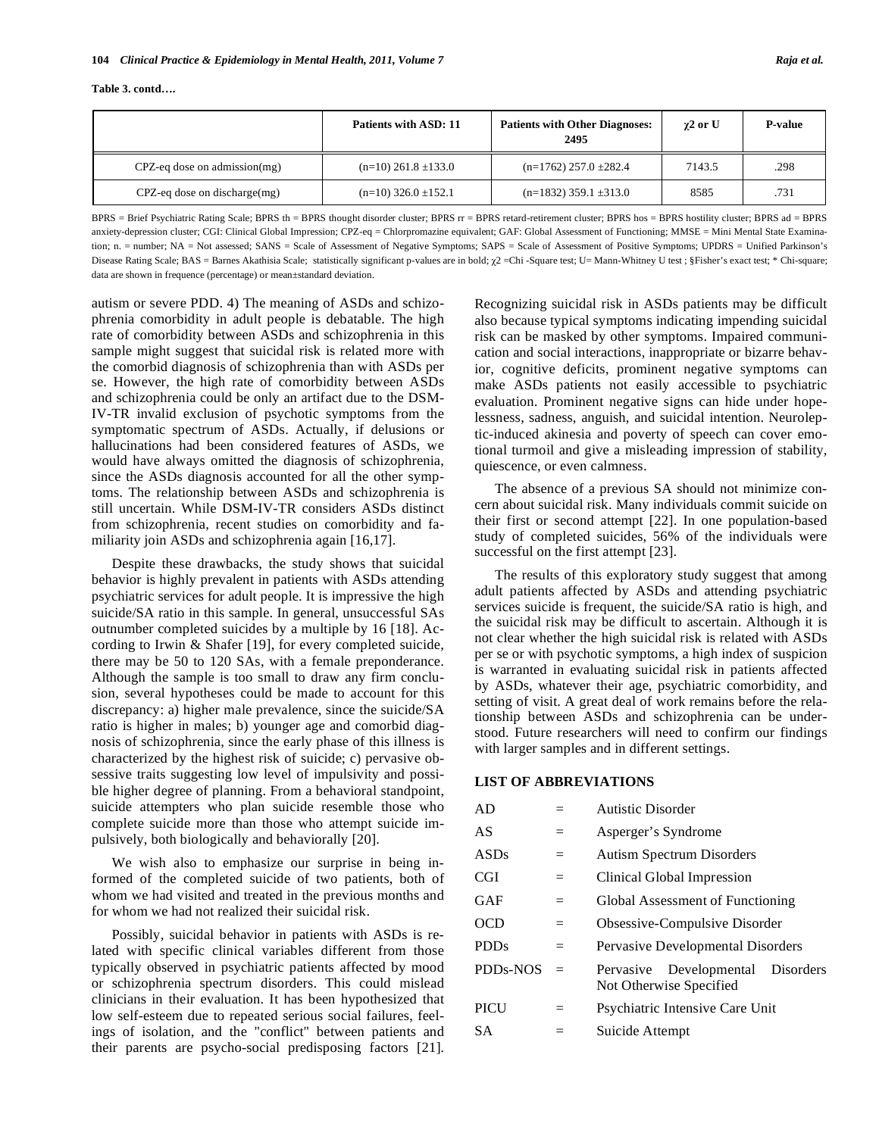|  | Table 3. contd |
|--|----------------|
|--|----------------|

|                                    | Patients with ASD: 11      | <b>Patients with Other Diagnoses:</b><br>2495 | $\gamma$ 2 or U | <b>P-value</b> |
|------------------------------------|----------------------------|-----------------------------------------------|-----------------|----------------|
| $CPZ$ -eq dose on admission $(mg)$ | $(n=10)$ 261.8 $\pm$ 133.0 | $(n=1762)$ 257.0 $\pm$ 282.4                  | 7143.5          | .298           |
| $CPZ$ -eq dose on discharge $(mg)$ | $(n=10)$ 326.0 $\pm$ 152.1 | $(n=1832)$ 359.1 $\pm$ 313.0                  | 8585            | .731           |

BPRS = Brief Psychiatric Rating Scale; BPRS th = BPRS thought disorder cluster; BPRS rr = BPRS retard-retirement cluster; BPRS hos = BPRS hostility cluster; BPRS ad = BPRS anxiety-depression cluster; CGI: Clinical Global Impression; CPZ-eq = Chlorpromazine equivalent; GAF: Global Assessment of Functioning; MMSE = Mini Mental State Examination; n. = number; NA = Not assessed; SANS = Scale of Assessment of Negative Symptoms; SAPS = Scale of Assessment of Positive Symptoms; UPDRS = Unified Parkinson's Disease Rating Scale; BAS = Barnes Akathisia Scale; statistically significant p-values are in bold;  $\chi$ 2 = Chi - Square test; U= Mann-Whitney U test; §Fisher's exact test; \* Chi-square; data are shown in frequence (percentage) or mean±standard deviation.

autism or severe PDD. 4) The meaning of ASDs and schizophrenia comorbidity in adult people is debatable. The high rate of comorbidity between ASDs and schizophrenia in this sample might suggest that suicidal risk is related more with the comorbid diagnosis of schizophrenia than with ASDs per se. However, the high rate of comorbidity between ASDs and schizophrenia could be only an artifact due to the DSM-IV-TR invalid exclusion of psychotic symptoms from the symptomatic spectrum of ASDs. Actually, if delusions or hallucinations had been considered features of ASDs, we would have always omitted the diagnosis of schizophrenia, since the ASDs diagnosis accounted for all the other symptoms. The relationship between ASDs and schizophrenia is still uncertain. While DSM-IV-TR considers ASDs distinct from schizophrenia, recent studies on comorbidity and familiarity join ASDs and schizophrenia again [16,17].

Despite these drawbacks, the study shows that suicidal behavior is highly prevalent in patients with ASDs attending psychiatric services for adult people. It is impressive the high suicide/SA ratio in this sample. In general, unsuccessful SAs outnumber completed suicides by a multiple by 16 [18]. According to Irwin & Shafer [19], for every completed suicide, there may be 50 to 120 SAs, with a female preponderance. Although the sample is too small to draw any firm conclusion, several hypotheses could be made to account for this discrepancy: a) higher male prevalence, since the suicide/SA ratio is higher in males; b) younger age and comorbid diagnosis of schizophrenia, since the early phase of this illness is characterized by the highest risk of suicide; c) pervasive obsessive traits suggesting low level of impulsivity and possible higher degree of planning. From a behavioral standpoint, suicide attempters who plan suicide resemble those who complete suicide more than those who attempt suicide impulsively, both biologically and behaviorally [20].

We wish also to emphasize our surprise in being informed of the completed suicide of two patients, both of whom we had visited and treated in the previous months and for whom we had not realized their suicidal risk.

Possibly, suicidal behavior in patients with ASDs is related with specific clinical variables different from those typically observed in psychiatric patients affected by mood or schizophrenia spectrum disorders. This could mislead clinicians in their evaluation. It has been hypothesized that low self-esteem due to repeated serious social failures, feelings of isolation, and the "conflict" between patients and their parents are psycho-social predisposing factors [21].

Recognizing suicidal risk in ASDs patients may be difficult also because typical symptoms indicating impending suicidal risk can be masked by other symptoms. Impaired communication and social interactions, inappropriate or bizarre behavior, cognitive deficits, prominent negative symptoms can make ASDs patients not easily accessible to psychiatric evaluation. Prominent negative signs can hide under hopelessness, sadness, anguish, and suicidal intention. Neuroleptic-induced akinesia and poverty of speech can cover emotional turmoil and give a misleading impression of stability, quiescence, or even calmness.

The absence of a previous SA should not minimize concern about suicidal risk. Many individuals commit suicide on their first or second attempt [22]. In one population-based study of completed suicides, 56% of the individuals were successful on the first attempt [23].

The results of this exploratory study suggest that among adult patients affected by ASDs and attending psychiatric services suicide is frequent, the suicide/SA ratio is high, and the suicidal risk may be difficult to ascertain. Although it is not clear whether the high suicidal risk is related with ASDs per se or with psychotic symptoms, a high index of suspicion is warranted in evaluating suicidal risk in patients affected by ASDs, whatever their age, psychiatric comorbidity, and setting of visit. A great deal of work remains before the relationship between ASDs and schizophrenia can be understood. Future researchers will need to confirm our findings with larger samples and in different settings.

# **LIST OF ABBREVIATIONS**

| AD              |     | <b>Autistic Disorder</b>                                     |
|-----------------|-----|--------------------------------------------------------------|
| AS              | $=$ | Asperger's Syndrome                                          |
| <b>ASDs</b>     | $=$ | <b>Autism Spectrum Disorders</b>                             |
| CGI             | $=$ | Clinical Global Impression                                   |
| GAF             | $=$ | Global Assessment of Functioning                             |
| OCD             | $=$ | Obsessive-Compulsive Disorder                                |
| <b>PDDs</b>     | $=$ | Pervasive Developmental Disorders                            |
| <b>PDDs-NOS</b> | $=$ | Pervasive Developmental Disorders<br>Not Otherwise Specified |
| PICU            | $=$ | Psychiatric Intensive Care Unit                              |
| SА              |     | Suicide Attempt                                              |
|                 |     |                                                              |